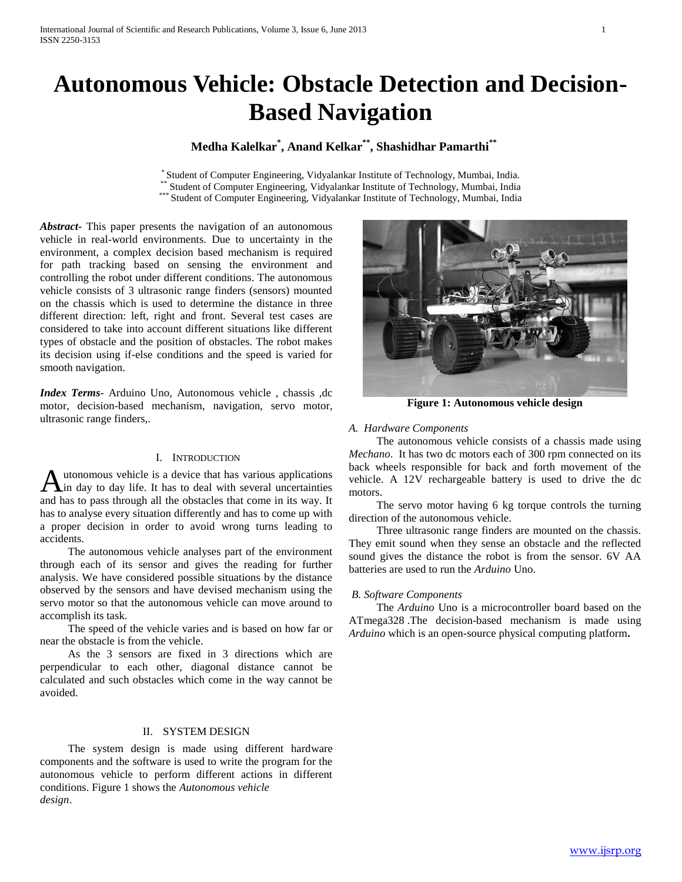# **Autonomous Vehicle: Obstacle Detection and Decision-Based Navigation**

# **Medha Kalelkar\* , Anand Kelkar\*\* , Shashidhar Pamarthi\*\***

\* Student of Computer Engineering, Vidyalankar Institute of Technology, Mumbai, India. Student of Computer Engineering, Vidyalankar Institute of Technology, Mumbai, India \*\*\* Student of Computer Engineering, Vidyalankar Institute of Technology, Mumbai, India

*Abstract***-** This paper presents the navigation of an autonomous vehicle in real-world environments. Due to uncertainty in the environment, a complex decision based mechanism is required for path tracking based on sensing the environment and controlling the robot under different conditions. The autonomous vehicle consists of 3 ultrasonic range finders (sensors) mounted on the chassis which is used to determine the distance in three different direction: left, right and front. Several test cases are considered to take into account different situations like different types of obstacle and the position of obstacles. The robot makes its decision using if-else conditions and the speed is varied for smooth navigation.

*Index Terms*- Arduino Uno, Autonomous vehicle , chassis ,dc motor, decision-based mechanism, navigation, servo motor, ultrasonic range finders,.

# I. INTRODUCTION

utonomous vehicle is a device that has various applications in day to day life. It has to deal with several uncertainties Autonomous vehicle is a device that has various applications and has to day life. It has to deal with several uncertainties and has to pass through all the obstacles that come in its way. It has to analyse every situation differently and has to come up with a proper decision in order to avoid wrong turns leading to accidents.

 The autonomous vehicle analyses part of the environment through each of its sensor and gives the reading for further analysis. We have considered possible situations by the distance observed by the sensors and have devised mechanism using the servo motor so that the autonomous vehicle can move around to accomplish its task.

 The speed of the vehicle varies and is based on how far or near the obstacle is from the vehicle.

 As the 3 sensors are fixed in 3 directions which are perpendicular to each other, diagonal distance cannot be calculated and such obstacles which come in the way cannot be avoided.

## II. SYSTEM DESIGN

 The system design is made using different hardware components and the software is used to write the program for the autonomous vehicle to perform different actions in different conditions. Figure 1 shows the *Autonomous vehicle design*.



 The autonomous vehicle consists of a chassis made using *Mechano*. It has two dc motors each of 300 rpm connected on its back wheels responsible for back and forth movement of the vehicle. A 12V rechargeable battery is used to drive the dc motors.

 The servo motor having 6 kg torque controls the turning direction of the autonomous vehicle.

 Three ultrasonic range finders are mounted on the chassis. They emit sound when they sense an obstacle and the reflected sound gives the distance the robot is from the sensor. 6V AA batteries are used to run the *Arduino* Uno.

#### *B. Software Components*

 The *Arduino* Uno is a microcontroller board based on the ATmega328 .The decision-based mechanism is made using *Arduino* which is an open-source physical computing platform**.**